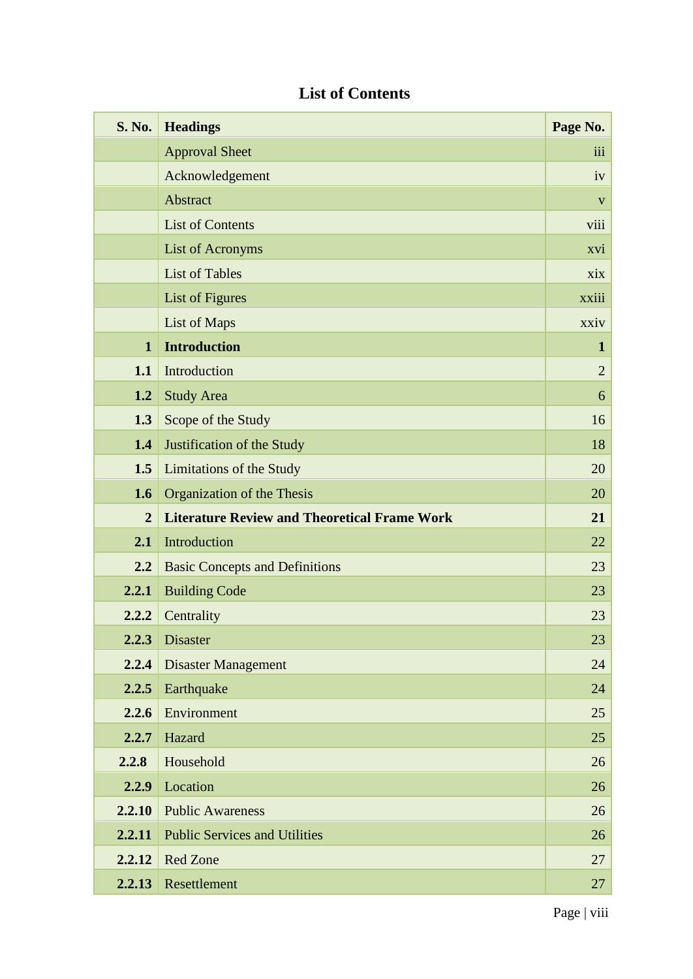| <b>S. No.</b>  | <b>Headings</b>                                     | Page No.         |
|----------------|-----------------------------------------------------|------------------|
|                | <b>Approval Sheet</b>                               | $\overline{111}$ |
|                | Acknowledgement                                     | iv               |
|                | Abstract                                            | $\mathbf{V}$     |
|                | <b>List of Contents</b>                             | viii             |
|                | List of Acronyms                                    | xvi              |
|                | <b>List of Tables</b>                               | xix              |
|                | List of Figures                                     | xxiii            |
|                | List of Maps                                        | xxiv             |
| $\mathbf{1}$   | <b>Introduction</b>                                 | $\mathbf{1}$     |
| 1.1            | Introduction                                        | $\overline{2}$   |
| 1.2            | <b>Study Area</b>                                   | 6                |
| 1.3            | Scope of the Study                                  | 16               |
| 1.4            | Justification of the Study                          | 18               |
| 1.5            | Limitations of the Study                            | 20               |
| 1.6            | Organization of the Thesis                          | 20               |
| $\overline{2}$ | <b>Literature Review and Theoretical Frame Work</b> | 21               |
| 2.1            | Introduction                                        | 22               |
| 2.2            | <b>Basic Concepts and Definitions</b>               | 23               |
| 2.2.1          | <b>Building Code</b>                                | 23               |
| 2.2.2          | Centrality                                          | 23               |
| 2.2.3          | <b>Disaster</b>                                     | 23               |
| 2.2.4          | <b>Disaster Management</b>                          | 24               |
| 2.2.5          | Earthquake                                          | 24               |
| 2.2.6          | Environment                                         | 25               |
| 2.2.7          | Hazard                                              | 25               |
| 2.2.8          | Household                                           | 26               |
| 2.2.9          | Location                                            | 26               |
| 2.2.10         | <b>Public Awareness</b>                             | 26               |
| 2.2.11         | <b>Public Services and Utilities</b>                | 26               |
| 2.2.12         | <b>Red Zone</b>                                     | 27               |
| 2.2.13         | Resettlement                                        | 27               |

## **List of Contents**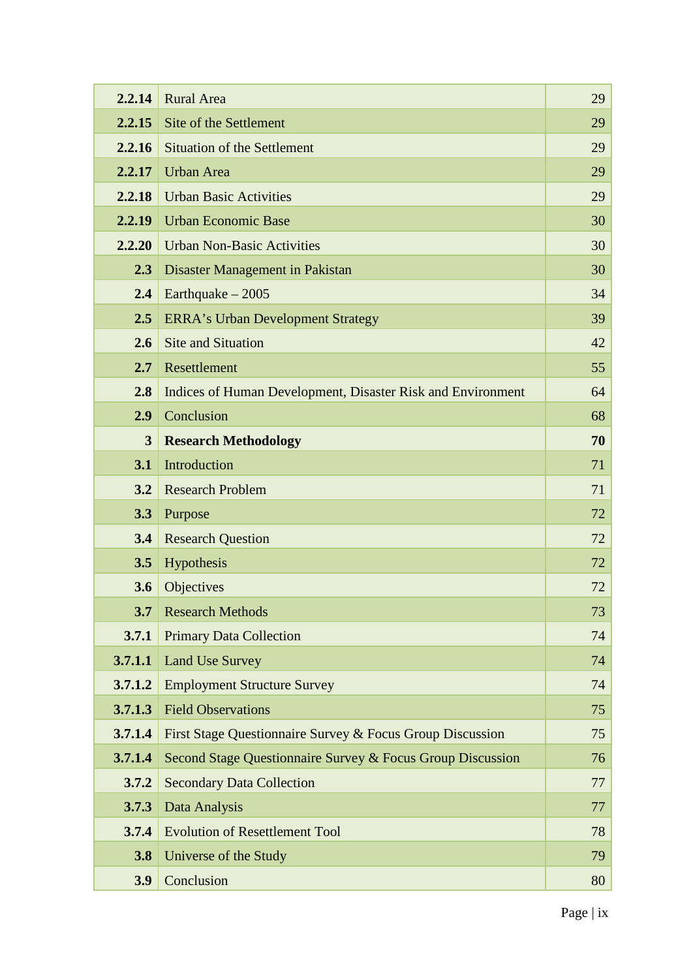| 2.2.14         | <b>Rural Area</b>                                           | 29 |
|----------------|-------------------------------------------------------------|----|
| 2.2.15         | Site of the Settlement                                      | 29 |
| 2.2.16         | <b>Situation of the Settlement</b>                          | 29 |
| 2.2.17         | <b>Urban Area</b>                                           | 29 |
| 2.2.18         | <b>Urban Basic Activities</b>                               | 29 |
| 2.2.19         | <b>Urban Economic Base</b>                                  | 30 |
| 2.2.20         | <b>Urban Non-Basic Activities</b>                           | 30 |
| 2.3            | Disaster Management in Pakistan                             | 30 |
| 2.4            | Earthquake $-2005$                                          | 34 |
| 2.5            | <b>ERRA's Urban Development Strategy</b>                    | 39 |
| 2.6            | <b>Site and Situation</b>                                   | 42 |
| 2.7            | Resettlement                                                | 55 |
| 2.8            | Indices of Human Development, Disaster Risk and Environment | 64 |
| 2.9            | Conclusion                                                  | 68 |
| $\overline{3}$ | <b>Research Methodology</b>                                 | 70 |
| 3.1            | Introduction                                                | 71 |
| 3.2            | <b>Research Problem</b>                                     | 71 |
| 3.3            | Purpose                                                     | 72 |
| 3.4            | <b>Research Question</b>                                    | 72 |
| 3.5            | Hypothesis                                                  | 72 |
| 3.6            | Objectives                                                  | 72 |
| 3.7            | <b>Research Methods</b>                                     | 73 |
| 3.7.1          | <b>Primary Data Collection</b>                              | 74 |
| 3.7.1.1        | <b>Land Use Survey</b>                                      | 74 |
| 3.7.1.2        | <b>Employment Structure Survey</b>                          | 74 |
| 3.7.1.3        | <b>Field Observations</b>                                   | 75 |
| 3.7.1.4        | First Stage Questionnaire Survey & Focus Group Discussion   | 75 |
| 3.7.1.4        | Second Stage Questionnaire Survey & Focus Group Discussion  | 76 |
| 3.7.2          | <b>Secondary Data Collection</b>                            | 77 |
| 3.7.3          | Data Analysis                                               | 77 |
| 3.7.4          | <b>Evolution of Resettlement Tool</b>                       | 78 |
| 3.8            | Universe of the Study                                       | 79 |
| 3.9            | Conclusion                                                  | 80 |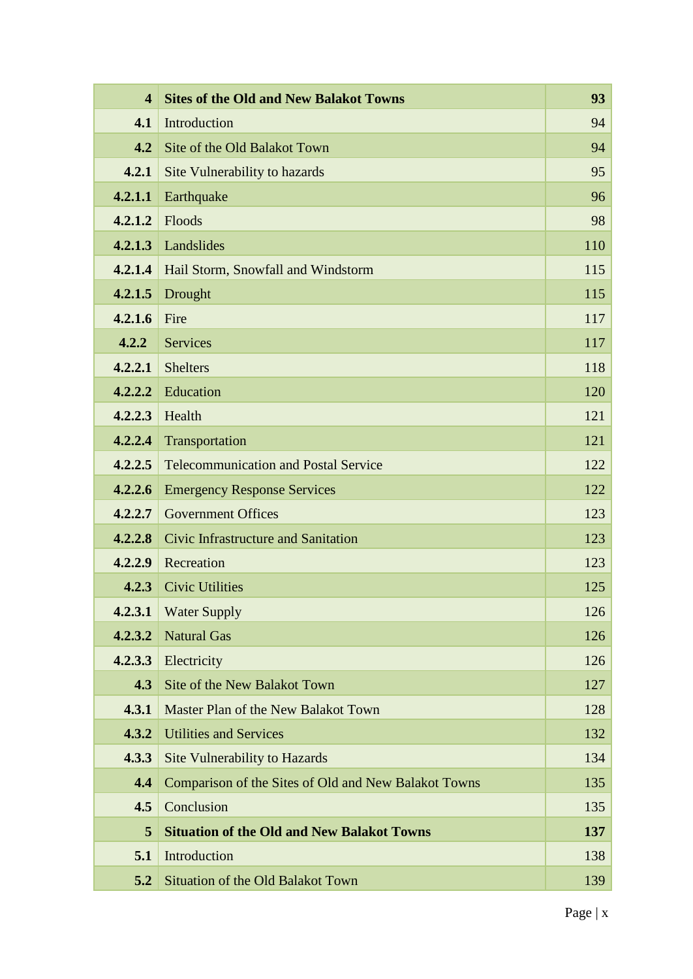| $\overline{\mathbf{4}}$ | <b>Sites of the Old and New Balakot Towns</b>        | 93  |
|-------------------------|------------------------------------------------------|-----|
| 4.1                     | Introduction                                         | 94  |
| 4.2                     | Site of the Old Balakot Town                         | 94  |
| 4.2.1                   | Site Vulnerability to hazards                        | 95  |
| 4.2.1.1                 | Earthquake                                           | 96  |
| 4.2.1.2                 | Floods                                               | 98  |
| 4.2.1.3                 | Landslides                                           | 110 |
| 4.2.1.4                 | Hail Storm, Snowfall and Windstorm                   | 115 |
| 4.2.1.5                 | Drought                                              | 115 |
| 4.2.1.6                 | Fire                                                 | 117 |
| 4.2.2                   | <b>Services</b>                                      | 117 |
| 4.2.2.1                 | <b>Shelters</b>                                      | 118 |
| 4.2.2.2                 | Education                                            | 120 |
| 4.2.2.3                 | Health                                               | 121 |
| 4.2.2.4                 | Transportation                                       | 121 |
| 4.2.2.5                 | <b>Telecommunication and Postal Service</b>          | 122 |
| 4.2.2.6                 | <b>Emergency Response Services</b>                   | 122 |
| 4.2.2.7                 | <b>Government Offices</b>                            | 123 |
| 4.2.2.8                 | Civic Infrastructure and Sanitation                  | 123 |
| 4.2.2.9                 | Recreation                                           | 123 |
| 4.2.3                   | <b>Civic Utilities</b>                               | 125 |
| 4.2.3.1                 | <b>Water Supply</b>                                  | 126 |
| 4.2.3.2                 | <b>Natural Gas</b>                                   | 126 |
| 4.2.3.3                 | Electricity                                          | 126 |
| 4.3                     | <b>Site of the New Balakot Town</b>                  | 127 |
| 4.3.1                   | Master Plan of the New Balakot Town                  | 128 |
| 4.3.2                   | <b>Utilities and Services</b>                        | 132 |
| 4.3.3                   | <b>Site Vulnerability to Hazards</b>                 | 134 |
| 4.4                     | Comparison of the Sites of Old and New Balakot Towns | 135 |
| 4.5                     | Conclusion                                           | 135 |
| 5                       | <b>Situation of the Old and New Balakot Towns</b>    | 137 |
| 5.1                     | Introduction                                         | 138 |
| 5.2                     | <b>Situation of the Old Balakot Town</b>             | 139 |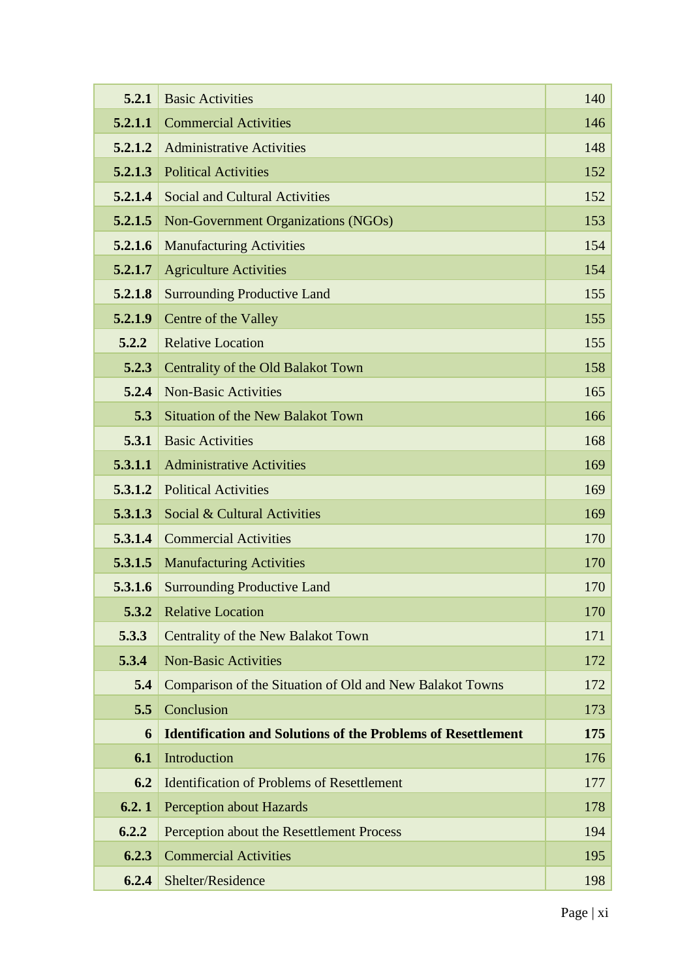| 5.2.1   | <b>Basic Activities</b>                                             | 140 |
|---------|---------------------------------------------------------------------|-----|
| 5.2.1.1 | <b>Commercial Activities</b>                                        | 146 |
| 5.2.1.2 | <b>Administrative Activities</b>                                    | 148 |
| 5.2.1.3 | <b>Political Activities</b>                                         | 152 |
| 5.2.1.4 | <b>Social and Cultural Activities</b>                               | 152 |
| 5.2.1.5 | Non-Government Organizations (NGOs)                                 | 153 |
| 5.2.1.6 | <b>Manufacturing Activities</b>                                     | 154 |
| 5.2.1.7 | <b>Agriculture Activities</b>                                       | 154 |
| 5.2.1.8 | <b>Surrounding Productive Land</b>                                  | 155 |
| 5.2.1.9 | Centre of the Valley                                                | 155 |
| 5.2.2   | <b>Relative Location</b>                                            | 155 |
| 5.2.3   | Centrality of the Old Balakot Town                                  | 158 |
| 5.2.4   | <b>Non-Basic Activities</b>                                         | 165 |
| 5.3     | <b>Situation of the New Balakot Town</b>                            | 166 |
| 5.3.1   | <b>Basic Activities</b>                                             | 168 |
| 5.3.1.1 | <b>Administrative Activities</b>                                    | 169 |
| 5.3.1.2 | <b>Political Activities</b>                                         | 169 |
| 5.3.1.3 | Social & Cultural Activities                                        | 169 |
| 5.3.1.4 | <b>Commercial Activities</b>                                        | 170 |
| 5.3.1.5 | <b>Manufacturing Activities</b>                                     | 170 |
| 5.3.1.6 | <b>Surrounding Productive Land</b>                                  | 170 |
|         | <b>5.3.2</b> Relative Location                                      | 170 |
| 5.3.3   | Centrality of the New Balakot Town                                  | 171 |
| 5.3.4   | <b>Non-Basic Activities</b>                                         | 172 |
| 5.4     | Comparison of the Situation of Old and New Balakot Towns            | 172 |
| 5.5     | Conclusion                                                          | 173 |
| 6       | <b>Identification and Solutions of the Problems of Resettlement</b> | 175 |
| 6.1     | Introduction                                                        | 176 |
| 6.2     | <b>Identification of Problems of Resettlement</b>                   | 177 |
| 6.2.1   | <b>Perception about Hazards</b>                                     | 178 |
| 6.2.2   | Perception about the Resettlement Process                           | 194 |
| 6.2.3   | <b>Commercial Activities</b>                                        | 195 |
| 6.2.4   | Shelter/Residence                                                   | 198 |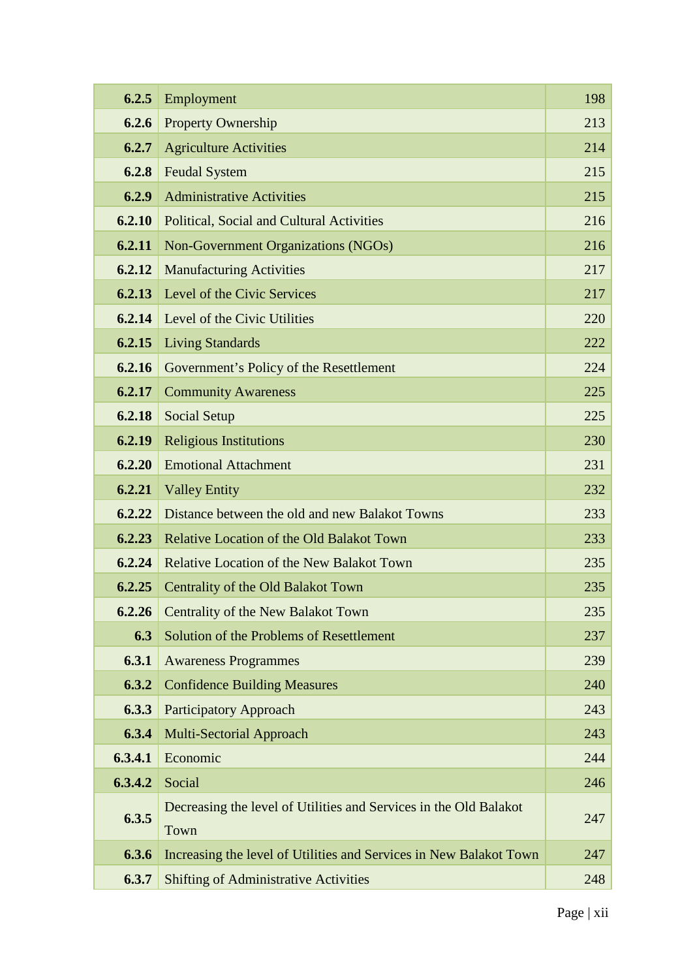| 6.2.5   | Employment                                                                | 198 |
|---------|---------------------------------------------------------------------------|-----|
| 6.2.6   | <b>Property Ownership</b>                                                 | 213 |
| 6.2.7   | <b>Agriculture Activities</b>                                             | 214 |
| 6.2.8   | <b>Feudal System</b>                                                      | 215 |
| 6.2.9   | <b>Administrative Activities</b>                                          | 215 |
| 6.2.10  | Political, Social and Cultural Activities                                 | 216 |
| 6.2.11  | Non-Government Organizations (NGOs)                                       | 216 |
| 6.2.12  | <b>Manufacturing Activities</b>                                           | 217 |
| 6.2.13  | Level of the Civic Services                                               | 217 |
| 6.2.14  | Level of the Civic Utilities                                              | 220 |
| 6.2.15  | <b>Living Standards</b>                                                   | 222 |
| 6.2.16  | Government's Policy of the Resettlement                                   | 224 |
| 6.2.17  | <b>Community Awareness</b>                                                | 225 |
| 6.2.18  | <b>Social Setup</b>                                                       | 225 |
| 6.2.19  | <b>Religious Institutions</b>                                             | 230 |
| 6.2.20  | <b>Emotional Attachment</b>                                               | 231 |
| 6.2.21  | <b>Valley Entity</b>                                                      | 232 |
| 6.2.22  | Distance between the old and new Balakot Towns                            | 233 |
| 6.2.23  | <b>Relative Location of the Old Balakot Town</b>                          | 233 |
| 6.2.24  | <b>Relative Location of the New Balakot Town</b>                          | 235 |
| 6.2.25  | Centrality of the Old Balakot Town                                        | 235 |
| 6.2.26  | Centrality of the New Balakot Town                                        | 235 |
| 6.3     | Solution of the Problems of Resettlement                                  | 237 |
| 6.3.1   | <b>Awareness Programmes</b>                                               | 239 |
| 6.3.2   | <b>Confidence Building Measures</b>                                       | 240 |
| 6.3.3   | <b>Participatory Approach</b>                                             | 243 |
| 6.3.4   | <b>Multi-Sectorial Approach</b>                                           | 243 |
| 6.3.4.1 | Economic                                                                  | 244 |
| 6.3.4.2 | Social                                                                    | 246 |
| 6.3.5   | Decreasing the level of Utilities and Services in the Old Balakot<br>Town | 247 |
| 6.3.6   | Increasing the level of Utilities and Services in New Balakot Town        | 247 |
| 6.3.7   | <b>Shifting of Administrative Activities</b>                              | 248 |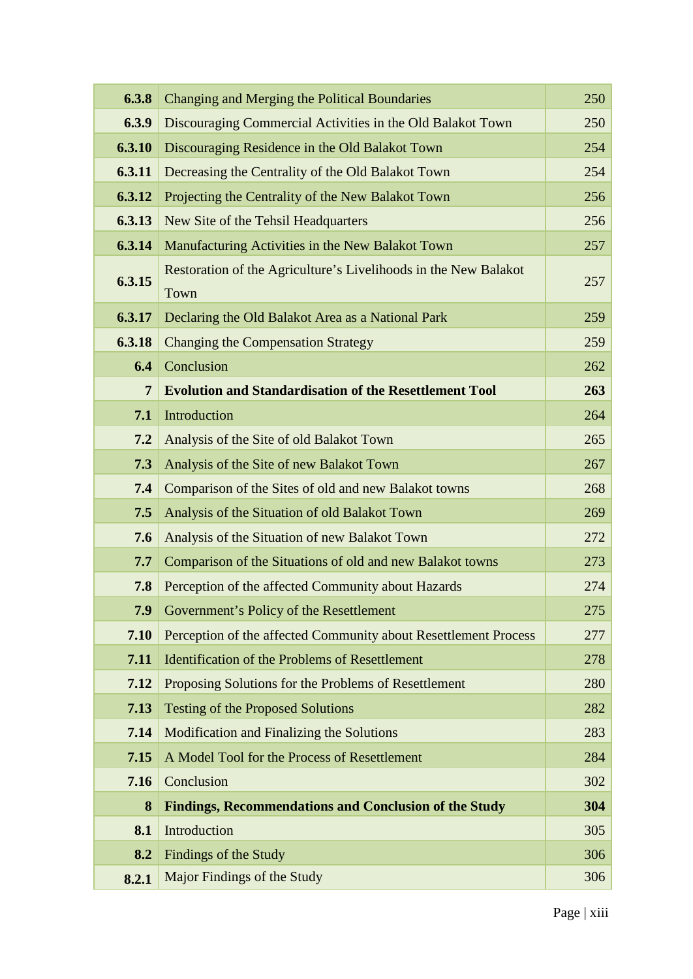| 6.3.8          | Changing and Merging the Political Boundaries                           | 250 |
|----------------|-------------------------------------------------------------------------|-----|
| 6.3.9          | Discouraging Commercial Activities in the Old Balakot Town              | 250 |
| 6.3.10         | Discouraging Residence in the Old Balakot Town                          | 254 |
| 6.3.11         | Decreasing the Centrality of the Old Balakot Town                       | 254 |
| 6.3.12         | Projecting the Centrality of the New Balakot Town                       | 256 |
| 6.3.13         | New Site of the Tehsil Headquarters                                     | 256 |
| 6.3.14         | Manufacturing Activities in the New Balakot Town                        | 257 |
| 6.3.15         | Restoration of the Agriculture's Livelihoods in the New Balakot<br>Town | 257 |
| 6.3.17         | Declaring the Old Balakot Area as a National Park                       | 259 |
| 6.3.18         | <b>Changing the Compensation Strategy</b>                               | 259 |
| 6.4            | Conclusion                                                              | 262 |
| $\overline{7}$ | <b>Evolution and Standardisation of the Resettlement Tool</b>           | 263 |
| 7.1            | Introduction                                                            | 264 |
| 7.2            | Analysis of the Site of old Balakot Town                                | 265 |
| 7.3            | Analysis of the Site of new Balakot Town                                | 267 |
| 7.4            | Comparison of the Sites of old and new Balakot towns                    | 268 |
| 7.5            | Analysis of the Situation of old Balakot Town                           | 269 |
| 7.6            | Analysis of the Situation of new Balakot Town                           | 272 |
| 7.7            | Comparison of the Situations of old and new Balakot towns               | 273 |
| 7.8            | Perception of the affected Community about Hazards                      | 274 |
| 7.9            | Government's Policy of the Resettlement                                 | 275 |
| 7.10           | Perception of the affected Community about Resettlement Process         | 277 |
| 7.11           | <b>Identification of the Problems of Resettlement</b>                   | 278 |
| 7.12           | Proposing Solutions for the Problems of Resettlement                    | 280 |
| 7.13           | <b>Testing of the Proposed Solutions</b>                                | 282 |
| 7.14           | <b>Modification and Finalizing the Solutions</b>                        | 283 |
| 7.15           | A Model Tool for the Process of Resettlement                            | 284 |
| 7.16           | Conclusion                                                              | 302 |
| 8              | <b>Findings, Recommendations and Conclusion of the Study</b>            | 304 |
| 8.1            | Introduction                                                            | 305 |
| 8.2            | Findings of the Study                                                   | 306 |
| 8.2.1          | Major Findings of the Study                                             | 306 |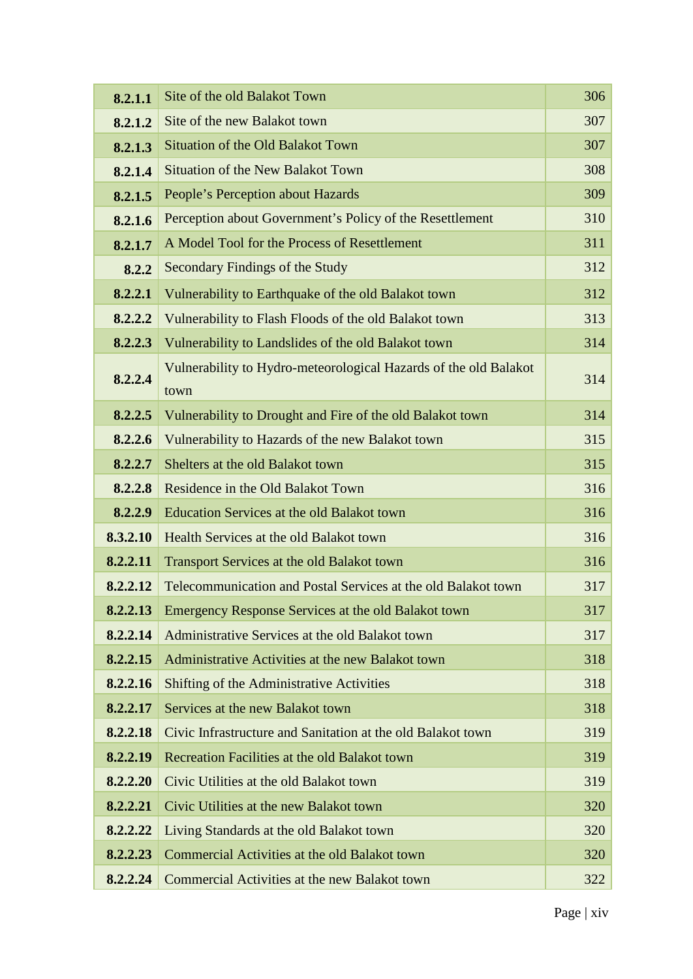| 8.2.1.1  | Site of the old Balakot Town                                             | 306 |
|----------|--------------------------------------------------------------------------|-----|
| 8.2.1.2  | Site of the new Balakot town                                             | 307 |
| 8.2.1.3  | <b>Situation of the Old Balakot Town</b>                                 | 307 |
| 8.2.1.4  | <b>Situation of the New Balakot Town</b>                                 | 308 |
| 8.2.1.5  | People's Perception about Hazards                                        | 309 |
| 8.2.1.6  | Perception about Government's Policy of the Resettlement                 | 310 |
| 8.2.1.7  | A Model Tool for the Process of Resettlement                             | 311 |
| 8.2.2    | Secondary Findings of the Study                                          | 312 |
| 8.2.2.1  | Vulnerability to Earthquake of the old Balakot town                      | 312 |
| 8.2.2.2  | Vulnerability to Flash Floods of the old Balakot town                    | 313 |
| 8.2.2.3  | Vulnerability to Landslides of the old Balakot town                      | 314 |
| 8.2.2.4  | Vulnerability to Hydro-meteorological Hazards of the old Balakot<br>town | 314 |
| 8.2.2.5  | Vulnerability to Drought and Fire of the old Balakot town                | 314 |
| 8.2.2.6  | Vulnerability to Hazards of the new Balakot town                         | 315 |
| 8.2.2.7  | Shelters at the old Balakot town                                         | 315 |
| 8.2.2.8  | Residence in the Old Balakot Town                                        | 316 |
| 8.2.2.9  | <b>Education Services at the old Balakot town</b>                        | 316 |
| 8.3.2.10 | Health Services at the old Balakot town                                  | 316 |
| 8.2.2.11 | Transport Services at the old Balakot town                               | 316 |
| 8.2.2.12 | Telecommunication and Postal Services at the old Balakot town            | 317 |
| 8.2.2.13 | Emergency Response Services at the old Balakot town                      | 317 |
| 8.2.2.14 | Administrative Services at the old Balakot town                          | 317 |
| 8.2.2.15 | Administrative Activities at the new Balakot town                        | 318 |
| 8.2.2.16 | <b>Shifting of the Administrative Activities</b>                         | 318 |
| 8.2.2.17 | Services at the new Balakot town                                         | 318 |
| 8.2.2.18 | Civic Infrastructure and Sanitation at the old Balakot town              | 319 |
| 8.2.2.19 | Recreation Facilities at the old Balakot town                            | 319 |
| 8.2.2.20 | Civic Utilities at the old Balakot town                                  | 319 |
| 8.2.2.21 | Civic Utilities at the new Balakot town                                  | 320 |
| 8.2.2.22 | Living Standards at the old Balakot town                                 | 320 |
| 8.2.2.23 | Commercial Activities at the old Balakot town                            | 320 |
| 8.2.2.24 | Commercial Activities at the new Balakot town                            | 322 |